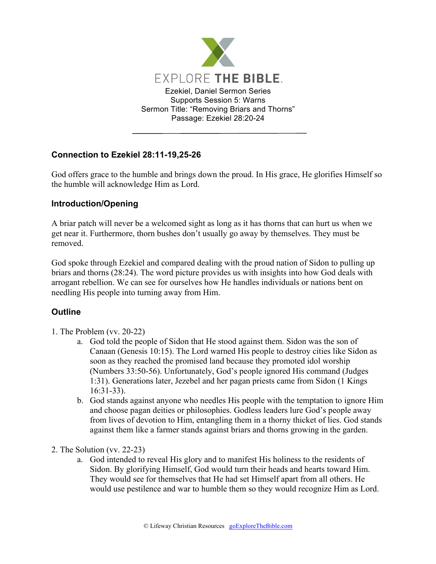

## **Connection to Ezekiel 28:11-19,25-26**

God offers grace to the humble and brings down the proud. In His grace, He glorifies Himself so the humble will acknowledge Him as Lord.

## **Introduction/Opening**

A briar patch will never be a welcomed sight as long as it has thorns that can hurt us when we get near it. Furthermore, thorn bushes don't usually go away by themselves. They must be removed.

God spoke through Ezekiel and compared dealing with the proud nation of Sidon to pulling up briars and thorns (28:24). The word picture provides us with insights into how God deals with arrogant rebellion. We can see for ourselves how He handles individuals or nations bent on needling His people into turning away from Him.

## **Outline**

- 1. The Problem (vv. 20-22)
	- a. God told the people of Sidon that He stood against them. Sidon was the son of Canaan (Genesis 10:15). The Lord warned His people to destroy cities like Sidon as soon as they reached the promised land because they promoted idol worship (Numbers 33:50-56). Unfortunately, God's people ignored His command (Judges 1:31). Generations later, Jezebel and her pagan priests came from Sidon (1 Kings 16:31-33).
	- b. God stands against anyone who needles His people with the temptation to ignore Him and choose pagan deities or philosophies. Godless leaders lure God's people away from lives of devotion to Him, entangling them in a thorny thicket of lies. God stands against them like a farmer stands against briars and thorns growing in the garden.
- 2. The Solution (vv. 22-23)
	- a. God intended to reveal His glory and to manifest His holiness to the residents of Sidon. By glorifying Himself, God would turn their heads and hearts toward Him. They would see for themselves that He had set Himself apart from all others. He would use pestilence and war to humble them so they would recognize Him as Lord.